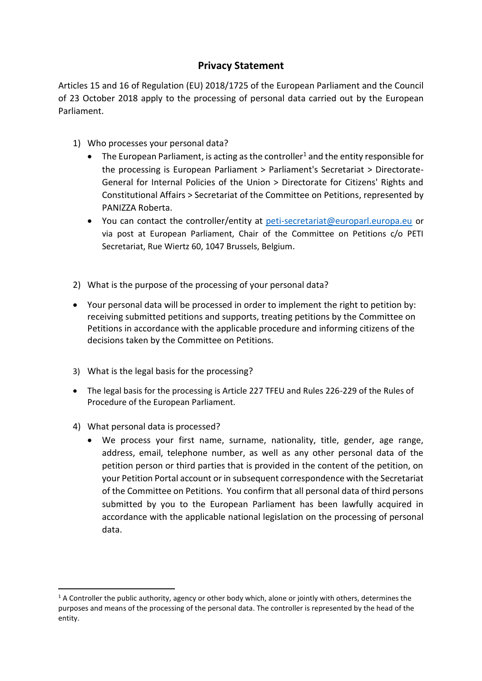## **Privacy Statement**

Articles 15 and 16 of Regulation (EU) 2018/1725 of the European Parliament and the Council of 23 October 2018 apply to the processing of personal data carried out by the European Parliament.

- 1) Who processes your personal data?
	- $\bullet$  The European Parliament, is acting as the controller<sup>1</sup> and the entity responsible for the processing is European Parliament > Parliament's Secretariat > Directorate-General for Internal Policies of the Union > Directorate for Citizens' Rights and Constitutional Affairs > Secretariat of the Committee on Petitions, represented by PANIZZA Roberta.
	- You can contact the controller/entity at [peti-secretariat@europarl.europa.eu](mailto:peti-secretariat@europarl.europa.eu) or via post at European Parliament, Chair of the Committee on Petitions c/o PETI Secretariat, Rue Wiertz 60, 1047 Brussels, Belgium.
- 2) What is the purpose of the processing of your personal data?
- Your personal data will be processed in order to implement the right to petition by: receiving submitted petitions and supports, treating petitions by the Committee on Petitions in accordance with the applicable procedure and informing citizens of the decisions taken by the Committee on Petitions.
- 3) What is the legal basis for the processing?
- The legal basis for the processing is Article 227 TFEU and Rules 226-229 of the Rules of Procedure of the European Parliament.
- 4) What personal data is processed?

**.** 

 We process your first name, surname, nationality, title, gender, age range, address, email, telephone number, as well as any other personal data of the petition person or third parties that is provided in the content of the petition, on your Petition Portal account or in subsequent correspondence with the Secretariat of the Committee on Petitions. You confirm that all personal data of third persons submitted by you to the European Parliament has been lawfully acquired in accordance with the applicable national legislation on the processing of personal data.

 $1/2$  A Controller the public authority, agency or other body which, alone or jointly with others, determines the purposes and means of the processing of the personal data. The controller is represented by the head of the entity.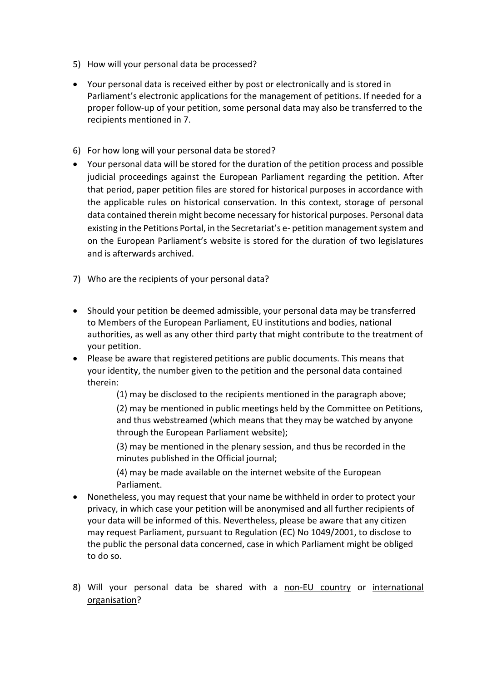- 5) How will your personal data be processed?
- Your personal data is received either by post or electronically and is stored in Parliament's electronic applications for the management of petitions. If needed for a proper follow-up of your petition, some personal data may also be transferred to the recipients mentioned in 7.
- 6) For how long will your personal data be stored?
- Your personal data will be stored for the duration of the petition process and possible judicial proceedings against the European Parliament regarding the petition. After that period, paper petition files are stored for historical purposes in accordance with the applicable rules on historical conservation. In this context, storage of personal data contained therein might become necessary for historical purposes. Personal data existing in the Petitions Portal, in the Secretariat's e- petition management system and on the European Parliament's website is stored for the duration of two legislatures and is afterwards archived.
- 7) Who are the recipients of your personal data?
- Should your petition be deemed admissible, your personal data may be transferred to Members of the European Parliament, EU institutions and bodies, national authorities, as well as any other third party that might contribute to the treatment of your petition.
- Please be aware that registered petitions are public documents. This means that your identity, the number given to the petition and the personal data contained therein:

(1) may be disclosed to the recipients mentioned in the paragraph above;

(2) may be mentioned in public meetings held by the Committee on Petitions, and thus webstreamed (which means that they may be watched by anyone through the European Parliament website);

(3) may be mentioned in the plenary session, and thus be recorded in the minutes published in the Official journal;

(4) may be made available on the internet website of the European Parliament.

- Nonetheless, you may request that your name be withheld in order to protect your privacy, in which case your petition will be anonymised and all further recipients of your data will be informed of this. Nevertheless, please be aware that any citizen may request Parliament, pursuant to Regulation (EC) No 1049/2001, to disclose to the public the personal data concerned, case in which Parliament might be obliged to do so.
- 8) Will your personal data be shared with a non-EU country or international organisation?